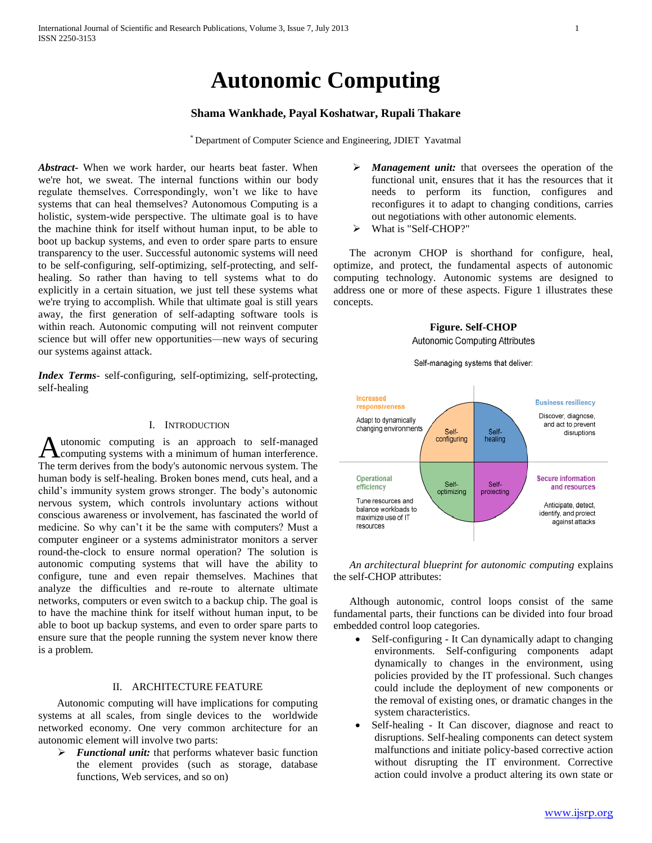# **Autonomic Computing**

## **Shama Wankhade, Payal Koshatwar, Rupali Thakare**

\* Department of Computer Science and Engineering, JDIET Yavatmal

*Abstract***-** When we work harder, our hearts beat faster. When we're hot, we sweat. The internal functions within our body regulate themselves. Correspondingly, won't we like to have systems that can heal themselves? Autonomous Computing is a holistic, system-wide perspective. The ultimate goal is to have the machine think for itself without human input, to be able to boot up backup systems, and even to order spare parts to ensure transparency to the user. Successful autonomic systems will need to be self-configuring, self-optimizing, self-protecting, and selfhealing. So rather than having to tell systems what to do explicitly in a certain situation, we just tell these systems what we're trying to accomplish. While that ultimate goal is still years away, the first generation of self-adapting software tools is within reach. Autonomic computing will not reinvent computer science but will offer new opportunities—new ways of securing our systems against attack.

*Index Terms*- self-configuring, self-optimizing, self-protecting, self-healing

## I. INTRODUCTION

utonomic computing is an approach to self-managed computing systems with a minimum of human interference. Autonomic computing is an approach to self-managed<br>The term derives from the body's autonomic nervous system. The human body is self-healing. Broken bones mend, cuts heal, and a child's immunity system grows stronger. The body's autonomic nervous system, which controls involuntary actions without conscious awareness or involvement, has fascinated the world of medicine. So why can't it be the same with computers? Must a computer engineer or a systems administrator monitors a server round-the-clock to ensure normal operation? The solution is autonomic computing systems that will have the ability to configure, tune and even repair themselves. Machines that analyze the difficulties and re-route to alternate ultimate networks, computers or even switch to a backup chip. The goal is to have the machine think for itself without human input, to be able to boot up backup systems, and even to order spare parts to ensure sure that the people running the system never know there is a problem.

## II. ARCHITECTURE FEATURE

 Autonomic computing will have implications for computing systems at all scales, from single devices to the worldwide networked economy. One very common architecture for an autonomic element will involve two parts:

 *Functional unit:* that performs whatever basic function the element provides (such as storage, database functions, Web services, and so on)

- *Management unit:* that oversees the operation of the functional unit, ensures that it has the resources that it needs to perform its function, configures and reconfigures it to adapt to changing conditions, carries out negotiations with other autonomic elements.
- What is "Self-CHOP?"

 The acronym CHOP is shorthand for configure, heal, optimize, and protect, the fundamental aspects of autonomic computing technology. Autonomic systems are designed to address one or more of these aspects. Figure 1 illustrates these concepts.

## **Figure. Self-CHOP**

Autonomic Computing Attributes

Self-managing systems that deliver:



 *An architectural blueprint for autonomic computing* explains the self-CHOP attributes:

 Although autonomic, control loops consist of the same fundamental parts, their functions can be divided into four broad embedded control loop categories.

- Self-configuring It Can dynamically adapt to changing environments. Self-configuring components adapt dynamically to changes in the environment, using policies provided by the IT professional. Such changes could include the deployment of new components or the removal of existing ones, or dramatic changes in the system characteristics.
- Self-healing It Can discover, diagnose and react to disruptions. Self-healing components can detect system malfunctions and initiate policy-based corrective action without disrupting the IT environment. Corrective action could involve a product altering its own state or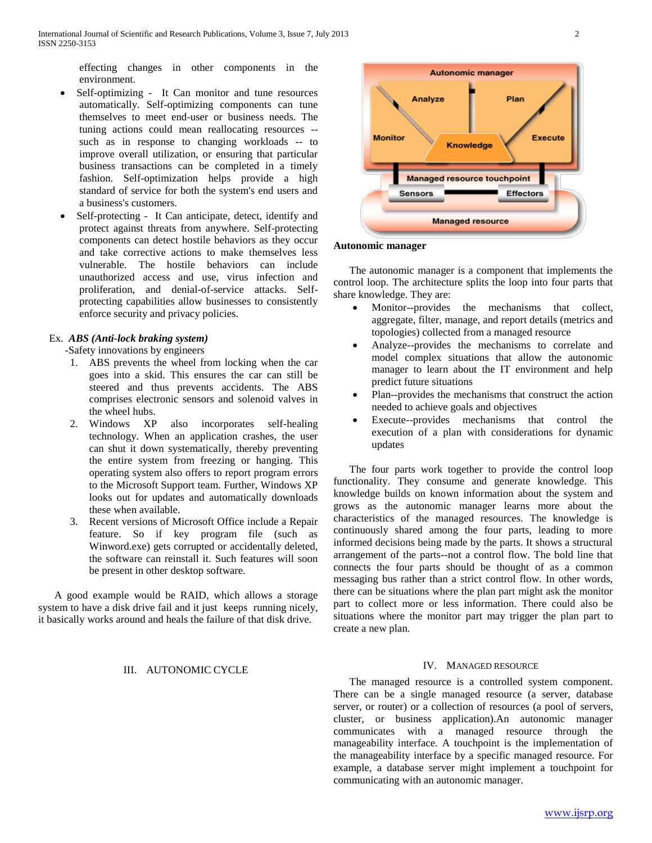effecting changes in other components in the environment.

- Self-optimizing It Can monitor and tune resources automatically. Self-optimizing components can tune themselves to meet end-user or business needs. The tuning actions could mean reallocating resources - such as in response to changing workloads -- to improve overall utilization, or ensuring that particular business transactions can be completed in a timely fashion. Self-optimization helps provide a high standard of service for both the system's end users and a business's customers.
- Self-protecting It Can anticipate, detect, identify and protect against threats from anywhere. Self-protecting components can detect hostile behaviors as they occur and take corrective actions to make themselves less vulnerable. The hostile behaviors can include unauthorized access and use, virus infection and proliferation, and denial-of-service attacks. Selfprotecting capabilities allow businesses to consistently enforce security and privacy policies.

## Ex. *ABS (Anti-lock braking system)*

-Safety innovations by engineers

- 1. ABS prevents the wheel from locking when the car goes into a skid. This ensures the car can still be steered and thus prevents accidents. The ABS comprises electronic sensors and solenoid valves in the wheel hubs.
- 2. Windows XP also incorporates self-healing technology. When an application crashes, the user can shut it down systematically, thereby preventing the entire system from freezing or hanging. This operating system also offers to report program errors to the Microsoft Support team. Further, Windows XP looks out for updates and automatically downloads these when available.
- 3. Recent versions of Microsoft Office include a Repair feature. So if key program file (such as Winword.exe) gets corrupted or accidentally deleted, the software can reinstall it. Such features will soon be present in other desktop software.

 A good example would be RAID, which allows a storage system to have a disk drive fail and it just keeps running nicely, it basically works around and heals the failure of that disk drive.

#### III. AUTONOMIC CYCLE



#### **Autonomic manager**

 The autonomic manager is a component that implements the control loop. The architecture splits the loop into four parts that share knowledge. They are:

- Monitor--provides the mechanisms that collect, aggregate, filter, manage, and report details (metrics and topologies) collected from a managed resource
- Analyze--provides the mechanisms to correlate and model complex situations that allow the autonomic manager to learn about the IT environment and help predict future situations
- Plan--provides the mechanisms that construct the action needed to achieve goals and objectives
- Execute--provides mechanisms that control the execution of a plan with considerations for dynamic updates

 The four parts work together to provide the control loop functionality. They consume and generate knowledge. This knowledge builds on known information about the system and grows as the autonomic manager learns more about the characteristics of the managed resources. The knowledge is continuously shared among the four parts, leading to more informed decisions being made by the parts. It shows a structural arrangement of the parts--not a control flow. The bold line that connects the four parts should be thought of as a common messaging bus rather than a strict control flow. In other words, there can be situations where the plan part might ask the monitor part to collect more or less information. There could also be situations where the monitor part may trigger the plan part to create a new plan.

## IV. MANAGED RESOURCE

 The managed resource is a controlled system component. There can be a single managed resource (a server, database server, or router) or a collection of resources (a pool of servers, cluster, or business application).An autonomic manager communicates with a managed resource through the manageability interface. A touchpoint is the implementation of the manageability interface by a specific managed resource. For example, a database server might implement a touchpoint for communicating with an autonomic manager.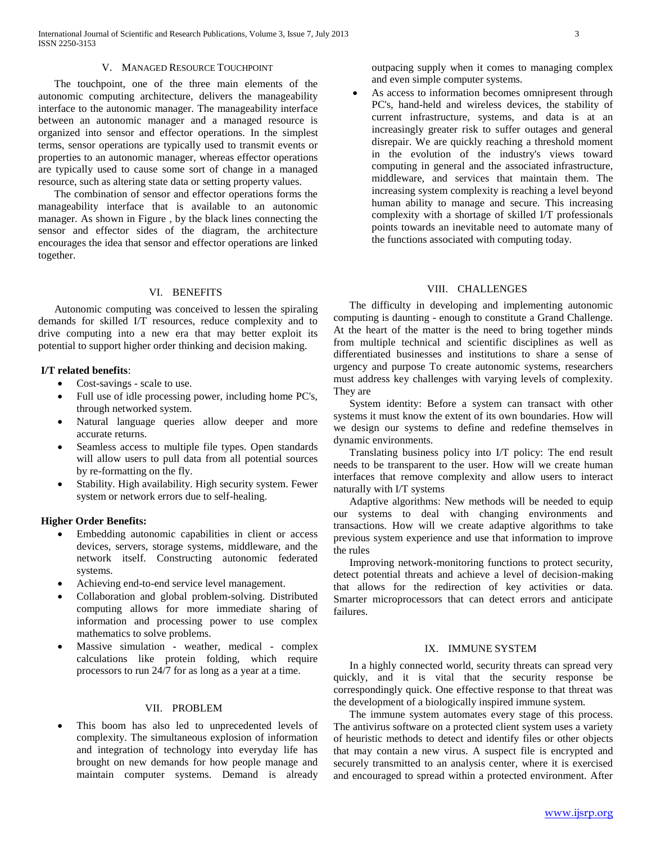#### V. MANAGED RESOURCE TOUCHPOINT

 The touchpoint, one of the three main elements of the autonomic computing architecture, delivers the manageability interface to the autonomic manager. The manageability interface between an autonomic manager and a managed resource is organized into sensor and effector operations. In the simplest terms, sensor operations are typically used to transmit events or properties to an autonomic manager, whereas effector operations are typically used to cause some sort of change in a managed resource, such as altering state data or setting property values.

 The combination of sensor and effector operations forms the manageability interface that is available to an autonomic manager. As shown in Figure , by the black lines connecting the sensor and effector sides of the diagram, the architecture encourages the idea that sensor and effector operations are linked together.

## VI. BENEFITS

 Autonomic computing was conceived to lessen the spiraling demands for skilled I/T resources, reduce complexity and to drive computing into a new era that may better exploit its potential to support higher order thinking and decision making.

## **I/T related benefits**:

- Cost-savings scale to use.
- Full use of idle processing power, including home PC's, through networked system.
- Natural language queries allow deeper and more accurate returns.
- Seamless access to multiple file types. Open standards will allow users to pull data from all potential sources by re-formatting on the fly.
- Stability. High availability. High security system. Fewer system or network errors due to self-healing.

## **Higher Order Benefits:**

- Embedding autonomic capabilities in client or access devices, servers, storage systems, middleware, and the network itself. Constructing autonomic federated systems.
- Achieving end-to-end service level management.
- Collaboration and global problem-solving. Distributed computing allows for more immediate sharing of information and processing power to use complex mathematics to solve problems.
- Massive simulation weather, medical complex calculations like protein folding, which require processors to run 24/7 for as long as a year at a time.

## VII. PROBLEM

 This boom has also led to unprecedented levels of complexity. The simultaneous explosion of information and integration of technology into everyday life has brought on new demands for how people manage and maintain computer systems. Demand is already

outpacing supply when it comes to managing complex and even simple computer systems.

 As access to information becomes omnipresent through PC's, hand-held and wireless devices, the stability of current infrastructure, systems, and data is at an increasingly greater risk to suffer outages and general disrepair. We are quickly reaching a threshold moment in the evolution of the industry's views toward computing in general and the associated infrastructure, middleware, and services that maintain them. The increasing system complexity is reaching a level beyond human ability to manage and secure. This increasing complexity with a shortage of skilled I/T professionals points towards an inevitable need to automate many of the functions associated with computing today.

#### VIII. CHALLENGES

 The difficulty in developing and implementing autonomic computing is daunting - enough to constitute a Grand Challenge. At the heart of the matter is the need to bring together minds from multiple technical and scientific disciplines as well as differentiated businesses and institutions to share a sense of urgency and purpose To create autonomic systems, researchers must address key challenges with varying levels of complexity. They are

 System identity: Before a system can transact with other systems it must know the extent of its own boundaries. How will we design our systems to define and redefine themselves in dynamic environments.

 Translating business policy into I/T policy: The end result needs to be transparent to the user. How will we create human interfaces that remove complexity and allow users to interact naturally with I/T systems

 Adaptive algorithms: New methods will be needed to equip our systems to deal with changing environments and transactions. How will we create adaptive algorithms to take previous system experience and use that information to improve the rules

 Improving network-monitoring functions to protect security, detect potential threats and achieve a level of decision-making that allows for the redirection of key activities or data. Smarter microprocessors that can detect errors and anticipate failures.

### IX. IMMUNE SYSTEM

 In a highly connected world, security threats can spread very quickly, and it is vital that the security response be correspondingly quick. One effective response to that threat was the development of a biologically inspired immune system.

 The immune system automates every stage of this process. The antivirus software on a protected client system uses a variety of heuristic methods to detect and identify files or other objects that may contain a new virus. A suspect file is encrypted and securely transmitted to an analysis center, where it is exercised and encouraged to spread within a protected environment. After